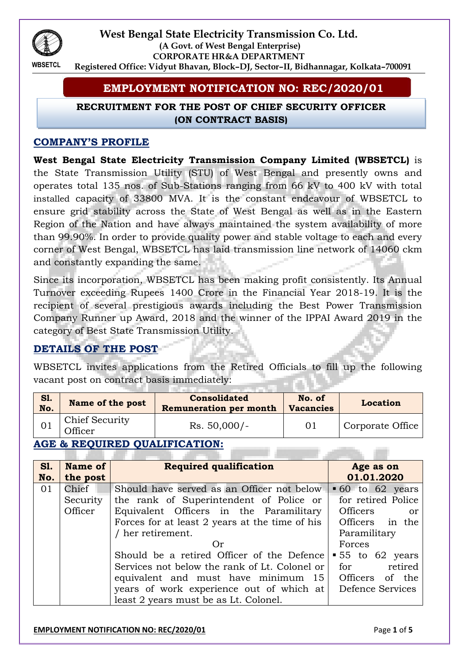

#### **West Bengal State Electricity Transmission Co. Ltd. (A Govt. of West Bengal Enterprise) CORPORATE HR&A DEPARTMENT Registered Office: Vidyut Bhavan, Block–DJ, Sector–II, Bidhannagar, Kolkata–700091**

# **EMPLOYMENT NOTIFICATION NO: REC/2020/01**

### **RECRUITMENT FOR THE POST OF CHIEF SECURITY OFFICER (ON CONTRACT BASIS)**

### **COMPANY'S PROFILE**

**West Bengal State Electricity Transmission Company Limited (WBSETCL)** is the State Transmission Utility (STU) of West Bengal and presently owns and operates total 135 nos. of Sub-Stations ranging from 66 kV to 400 kV with total installed capacity of 33800 MVA. It is the constant endeavour of WBSETCL to ensure grid stability across the State of West Bengal as well as in the Eastern Region of the Nation and have always maintained the system availability of more than 99.90%. In order to provide quality power and stable voltage to each and every corner of West Bengal, WBSETCL has laid transmission line network of 14060 ckm and constantly expanding the same.

Since its incorporation, WBSETCL has been making profit consistently. Its Annual Turnover exceeding Rupees 1400 Crore in the Financial Year 2018-19. It is the recipient of several prestigious awards including the Best Power Transmission Company Runner up Award, 2018 and the winner of the IPPAI Award 2019 in the category of Best State Transmission Utility.

## **DETAILS OF THE POST**

WBSETCL invites applications from the Retired Officials to fill up the following vacant post on contract basis immediately:

| <b>S1.</b><br>No. | Name of the post                        | <b>Consolidated</b><br><b>Remuneration per month</b> | No. of<br><b>Vacancies</b> | <b>Location</b>  |
|-------------------|-----------------------------------------|------------------------------------------------------|----------------------------|------------------|
|                   | <b>Chief Security</b><br><b>Officer</b> | $Rs. 50,000/-$                                       | 01                         | Corporate Office |

# **AGE & REQUIRED QUALIFICATION:**

| <b>S1.</b> | Name of  | <b>Required qualification</b>                  | Age as on                |  |
|------------|----------|------------------------------------------------|--------------------------|--|
| No.        | the post |                                                | 01.01.2020               |  |
| 01         | Chief    | Should have served as an Officer not below     | $\bullet$ 60 to 62 years |  |
|            | Security | the rank of Superintendent of Police or        | for retired Police       |  |
|            | Officer  | Equivalent Officers in the Paramilitary        | Officers<br>- or         |  |
|            |          | Forces for at least 2 years at the time of his | Officers in the          |  |
|            |          | / her retirement.                              | Paramilitary             |  |
|            |          | (r)                                            | Forces                   |  |
|            |          | Should be a retired Officer of the Defence     | $\bullet$ 55 to 62 years |  |
|            |          | Services not below the rank of Lt. Colonel or  | retired<br>for           |  |
|            |          | equivalent and must have minimum $15$          | Officers of the          |  |
|            |          | years of work experience out of which at       | Defence Services         |  |
|            |          | least 2 years must be as Lt. Colonel.          |                          |  |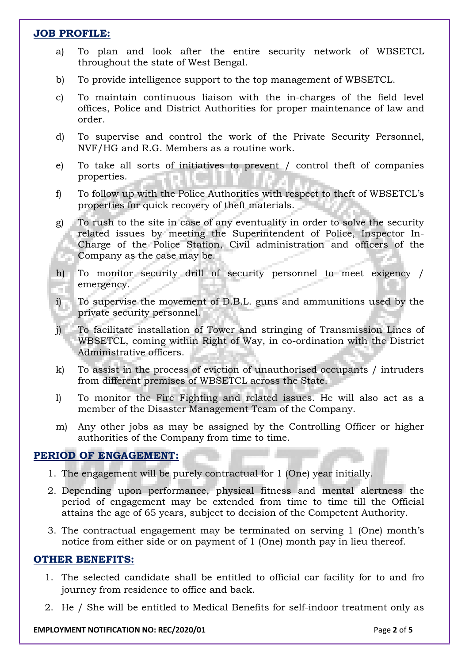#### **JOB PROFILE:**

- a) To plan and look after the entire security network of WBSETCL throughout the state of West Bengal.
- b) To provide intelligence support to the top management of WBSETCL.
- c) To maintain continuous liaison with the in-charges of the field level offices, Police and District Authorities for proper maintenance of law and order.
- d) To supervise and control the work of the Private Security Personnel, NVF/HG and R.G. Members as a routine work.
- e) To take all sorts of initiatives to prevent / control theft of companies properties.
- f) To follow up with the Police Authorities with respect to theft of WBSETCL's properties for quick recovery of theft materials.
- g) To rush to the site in case of any eventuality in order to solve the security related issues by meeting the Superintendent of Police, Inspector In-Charge of the Police Station, Civil administration and officers of the Company as the case may be.
- h) To monitor security drill of security personnel to meet exigency / emergency. T.
- i) To supervise the movement of D.B.L. guns and ammunitions used by the private security personnel.
- j) To facilitate installation of Tower and stringing of Transmission Lines of WBSETCL, coming within Right of Way, in co-ordination with the District Administrative officers.
- k) To assist in the process of eviction of unauthorised occupants / intruders from different premises of WBSETCL across the State.
- l) To monitor the Fire Fighting and related issues. He will also act as a member of the Disaster Management Team of the Company.
- m) Any other jobs as may be assigned by the Controlling Officer or higher authorities of the Company from time to time.

#### **PERIOD OF ENGAGEMENT:**

- 1. The engagement will be purely contractual for 1 (One) year initially.
- 2. Depending upon performance, physical fitness and mental alertness the period of engagement may be extended from time to time till the Official attains the age of 65 years, subject to decision of the Competent Authority.
- 3. The contractual engagement may be terminated on serving 1 (One) month's notice from either side or on payment of 1 (One) month pay in lieu thereof.

#### **OTHER BENEFITS:**

- 1. The selected candidate shall be entitled to official car facility for to and fro journey from residence to office and back.
- 2. He / She will be entitled to Medical Benefits for self-indoor treatment only as

#### **EMPLOYMENT NOTIFICATION NO: REC/2020/01 Page 2** of **5**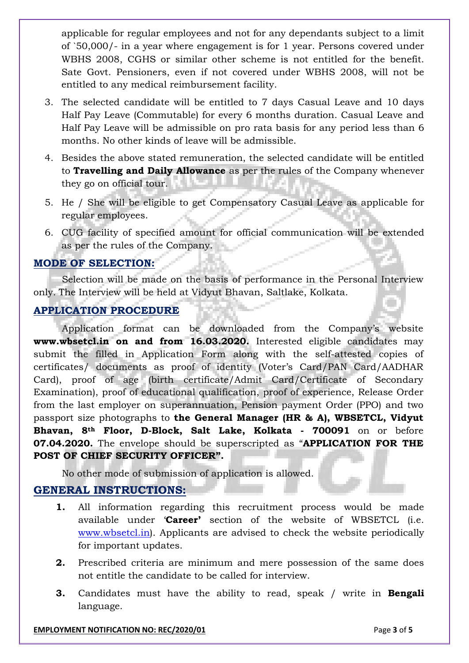applicable for regular employees and not for any dependants subject to a limit of `50,000/- in a year where engagement is for 1 year. Persons covered under WBHS 2008, CGHS or similar other scheme is not entitled for the benefit. Sate Govt. Pensioners, even if not covered under WBHS 2008, will not be entitled to any medical reimbursement facility.

- 3. The selected candidate will be entitled to 7 days Casual Leave and 10 days Half Pay Leave (Commutable) for every 6 months duration. Casual Leave and Half Pay Leave will be admissible on pro rata basis for any period less than 6 months. No other kinds of leave will be admissible.
- 4. Besides the above stated remuneration, the selected candidate will be entitled to **Travelling and Daily Allowance** as per the rules of the Company whenever they go on official tour.
- 5. He / She will be eligible to get Compensatory Casual Leave as applicable for regular employees.
- 6. CUG facility of specified amount for official communication will be extended as per the rules of the Company.

### **MODE OF SELECTION:**

Selection will be made on the basis of performance in the Personal Interview only*.* The Interview will be held at Vidyut Bhavan, Saltlake, Kolkata.

### **APPLICATION PROCEDURE**

Application format can be downloaded from the Company's website **www.wbsetcl.in on and from 16.03.2020.** Interested eligible candidates may submit the filled in Application Form along with the self-attested copies of certificates/ documents as proof of identity (Voter's Card/PAN Card/AADHAR Card), proof of age (birth certificate/Admit Card/Certificate of Secondary Examination), proof of educational qualification, proof of experience, Release Order from the last employer on superannuation, Pension payment Order (PPO) and two passport size photographs to **the General Manager (HR & A), WBSETCL, Vidyut Bhavan, 8th Floor, D-Block, Salt Lake, Kolkata - 700091** on or before **07.04.2020.** The envelope should be superscripted as "**APPLICATION FOR THE POST OF CHIEF SECURITY OFFICER".**

No other mode of submission of application is allowed.

## **GENERAL INSTRUCTIONS:**

- **1.** All information regarding this recruitment process would be made available under '**Career'** section of the website of WBSETCL (i.e. [www.wbsetcl.in\)](http://www.wbsetcl.in/). Applicants are advised to check the website periodically for important updates.
- **2.** Prescribed criteria are minimum and mere possession of the same does not entitle the candidate to be called for interview.
- **3.** Candidates must have the ability to read, speak / write in **Bengali** language.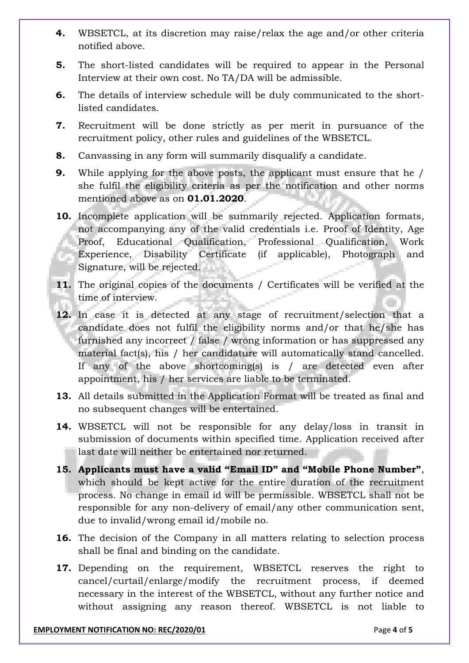- **4.** WBSETCL, at its discretion may raise/relax the age and/or other criteria notified above.
- **5.** The short-listed candidates will be required to appear in the Personal Interview at their own cost. No TA/DA will be admissible.
- **6.** The details of interview schedule will be duly communicated to the shortlisted candidates.
- **7.** Recruitment will be done strictly as per merit in pursuance of the recruitment policy, other rules and guidelines of the WBSETCL.
- **8.** Canvassing in any form will summarily disqualify a candidate.
- **9.** While applying for the above posts, the applicant must ensure that he / she fulfil the eligibility criteria as per the notification and other norms mentioned above as on **01.01.2020**.
- **10.** Incomplete application will be summarily rejected. Application formats, not accompanying any of the valid credentials i.e. Proof of Identity, Age Proof, Educational Qualification, Professional Qualification, Work Experience, Disability Certificate (if applicable), Photograph and Signature, will be rejected.
- **11.** The original copies of the documents / Certificates will be verified at the time of interview.
- **12.** In case it is detected at any stage of recruitment/selection that a candidate does not fulfil the eligibility norms and/or that he/she has furnished any incorrect / false / wrong information or has suppressed any material fact(s), his / her candidature will automatically stand cancelled. If any of the above shortcoming(s) is / are detected even after appointment, his / her services are liable to be terminated.
- **13.** All details submitted in the Application Format will be treated as final and no subsequent changes will be entertained.
- **14.** WBSETCL will not be responsible for any delay/loss in transit in submission of documents within specified time. Application received after last date will neither be entertained nor returned.
- **15. Applicants must have a valid "Email ID" and "Mobile Phone Number"**, which should be kept active for the entire duration of the recruitment process. No change in email id will be permissible. WBSETCL shall not be responsible for any non-delivery of email/any other communication sent, due to invalid/wrong email id/mobile no.
- **16.** The decision of the Company in all matters relating to selection process shall be final and binding on the candidate.
- **17.** Depending on the requirement, WBSETCL reserves the right to cancel/curtail/enlarge/modify the recruitment process, if deemed necessary in the interest of the WBSETCL, without any further notice and without assigning any reason thereof. WBSETCL is not liable to